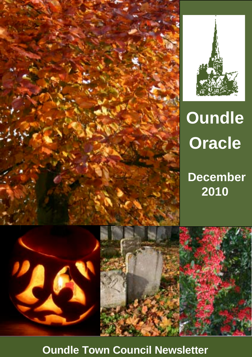



# **Oundle Oracle**

# **December 2010**

**Oundle Town Council Newsletter**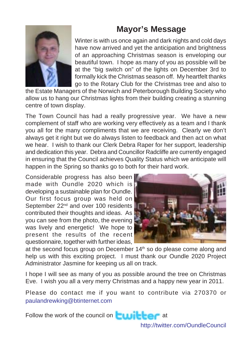## **Mayor's Message**



Winter is with us once again and dark nights and cold days have now arrived and yet the anticipation and brightness of an approaching Christmas season is enveloping our beautiful town. I hope as many of you as possible will be at the "big switch on" of the lights on December 3rd to formally kick the Christmas season off. My heartfelt thanks go to the Rotary Club for the Christmas tree and also to

the Estate Managers of the Norwich and Peterborough Building Society who allow us to hang our Christmas lights from their building creating a stunning centre of town display.

The Town Council has had a really progressive year. We have a new complement of staff who are working very effectively as a team and I thank you all for the many compliments that we are receiving. Clearly we don't always get it right but we do always listen to feedback and then act on what we hear. I wish to thank our Clerk Debra Raper for her support, leadership and dedication this year. Debra and Councillor Radcliffe are currently engaged in ensuring that the Council achieves Quality Status which we anticipate will happen in the Spring so thanks go to both for their hard work.

Considerable progress has also been made with Oundle 2020 which is developing a sustainable plan for Oundle. Our first focus group was held on September 22<sup>nd</sup> and over 100 residents contributed their thoughts and ideas. As you can see from the photo, the evening was lively and energetic! We hope to present the results of the recent questionnaire, together with further ideas,



at the second focus group on December 14<sup>th</sup> so do please come along and help us with this exciting project. I must thank our Oundle 2020 Project Administrator Jasmine for keeping us all on track.

I hope I will see as many of you as possible around the tree on Christmas Eve. I wish you all a very merry Christmas and a happy new year in 2011.

Please do contact me if you want to contribute via 270370 or paulandrewking@btinternet.com

Follow the work of the council on  $\Box$  at

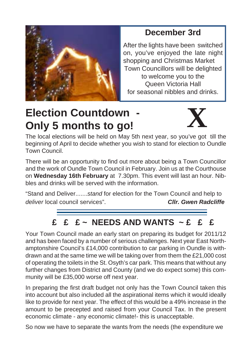

# **December 3rd**

After the lights have been switched on, you've enjoyed the late night shopping and Christmas Market Town Councillors will be delighted to welcome you to the Queen Victoria Hall for seasonal nibbles and drinks.

# **Election Countdown Only 5 months to go!**



The local elections will be held on May 5th next year, so you've got till the beginning of April to decide whether you wish to stand for election to Oundle Town Council.

There will be an opportunity to find out more about being a Town Councillor and the work of Oundle Town Council in February. Join us at the Courthouse on **Wednesday 16th February** at 7.30pm. This event will last an hour. Nibbles and drinks will be served with the information.

"Stand and Deliver.......*stand* for election for the Town Council and help to *deliver* local council services". *Cllr. Gwen Radcliffe*

# **£ £ £ ~ NEEDS AND WANTS ~ £ £ £**

Your Town Council made an early start on preparing its budget for 2011/12 and has been faced by a number of serious challenges. Next year East Northamptonshire Council's £14,000 contribution to car parking in Oundle is withdrawn and at the same time we will be taking over from them the £21,000 cost of operating the toilets in the St. Osyth's car park. This means that without any further changes from District and County (and we do expect some) this community will be £35,000 worse off next year.

In preparing the first draft budget not only has the Town Council taken this into account but also included all the aspirational items which it would ideally like to provide for next year. The effect of this would be a 49% increase in the amount to be precepted and raised from your Council Tax. In the present economic climate - any economic climate!- this is unacceptable.

So now we have to separate the wants from the needs (the expenditure we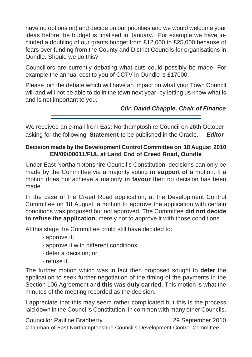have no options on) and decide on our priorities and we would welcome your ideas before the budget is finalised in January. For example we have included a doubling of our grants budget from £12,000 to £25,000 because of fears over funding from the County and District Councils for organisations in Oundle. Should we do this?

Councillors are currently debating what cuts could possibly be made. For example the annual cost to you of CCTV in Oundle is £17000.

Please join the debate which will have an impact on what your Town Council will and will not be able to do in the town next year, by letting us know what is and is not important to you.

 *Cllr. David Chapple, Chair of Finance*

We received an e-mail from East Northamptoshire Council on 26th October asking for the following **Statement** to be published in the Oracle. *Editor*

#### **Decision made by the Development Control Committee on 18 August 2010 EN/09/00611/FUL at Land End of Creed Road, Oundle**

Under East Northamptonshire Council's Constitution, decisions can only be made by the Committee via a majority voting **in support of** a motion. If a motion does not achieve a majority **in favour** then no decision has been made.

In the case of the Creed Road application, at the Development Control Committee on 18 August, a motion to approve the application with certain conditions was proposed but not approved. The Committee **did not decide to refuse the application**, merely not to approve it with those conditions.

At this stage the Committee could still have decided to:

- · approve it;
- · approve it with different conditions;
- · defer a decision; or
- · refuse it.

The further motion which was in fact then proposed sought to **defer** the application to seek further negotiation of the timing of the payments in the Section 106 Agreement and **this was duly carried**. This motion is what the minutes of the meeting recorded as the decision.

I appreciate that this may seem rather complicated but this is the process laid down in the Council's Constitution, in common with many other Councils.

Councillor Pauline Bradberry 29 September 2010 Chairman of East Northamptonshire Council's Development Control Committee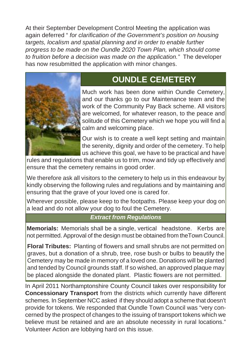At their September Development Control Meeting the application was again deferred " *for clarification of the Government's position on housing targets, localism and spatial planning and in order to enable further progress to be made on the Oundle 2020 Town Plan, which should come to fruition before a decision was made on the application."* The developer has now resubmitted the application with minor changes.



# **OUNDLE CEMETERY**

Much work has been done within Oundle Cemetery, and our thanks go to our Maintenance team and the work of the Community Pay Back scheme. All visitors are welcomed, for whatever reason, to the peace and solitude of this Cemetery which we hope you will find a calm and welcoming place.

Our wish is to create a well kept setting and maintain the serenity, dignity and order of the cemetery. To help us achieve this goal, we have to be practical and have

rules and regulations that enable us to trim, mow and tidy up effectively and ensure that the cemetery remains in good order.

We therefore ask all visitors to the cemetery to help us in this endeavour by kindly observing the following rules and regulations and by maintaining and ensuring that the grave of your loved one is cared for.

Wherever possible, please keep to the footpaths. Please keep your dog on a lead and do not allow your dog to foul the Cemetery.

#### *Extract from Regulations*

**Memorials:** Memorials shall be a single, vertical headstone. Kerbs are not permitted. Approval of the design must be obtained from theTown Council.

**Floral Tributes:** Planting of flowers and small shrubs are not permitted on graves, but a donation of a shrub, tree, rose bush or bulbs to beautify the Cemetery may be made in memory of a loved one. Donations will be planted and tended by Council grounds staff. If so wished, an approved plaque may be placed alongside the donated plant. Plastic flowers are not permitted.

In April 2011 Northamptonshire County Council takes over responsibility for **Concessionary Transport** from the districts which currently have different schemes. In September NCC asked if they should adopt a scheme that doesn't provide for tokens. We responded that Oundle Town Council was "very concerned by the prospect of changes to the issuing of transport tokens which we believe must be retained and are an absolute necessity in rural locations." Volunteer Action are lobbying hard on this issue.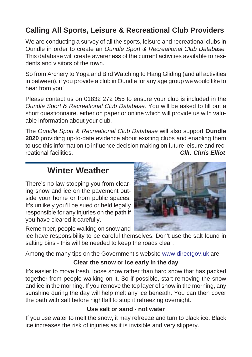### **Calling All Sports, Leisure & Recreational Club Providers**

We are conducting a survey of all the sports, leisure and recreational clubs in Oundle in order to create an *Oundle Sport & Recreational Club Database.* This database will create awareness of the current activities available to residents and visitors of the town.

So from Archery to Yoga and Bird Watching to Hang Gliding (and all activities in between), if you provide a club in Oundle for any age group we would like to hear from you!

Please contact us on 01832 272 055 to ensure your club is included in the *Oundle Sport & Recreational Club Database.* You will be asked to fill out a short questionnaire, either on paper or online which will provide us with valuable information about your club.

The *Oundle Sport & Recreational Club Database* will also support **Oundle 2020** providing up-to-date evidence about existing clubs and enabling them to use this information to influence decision making on future leisure and recreational facilities. *Cllr. Chris Elliot*

## **Winter Weather**

There's no law stopping you from clearing snow and ice on the pavement outside your home or from public spaces. It's unlikely you'll be sued or held legally responsible for any injuries on the path if you have cleared it carefully.

Remember, people walking on snow and



ice have responsibility to be careful themselves. Don't use the salt found in salting bins - this will be needed to keep the roads clear.

Among the many tips on the Government's website www.directgov.uk are

#### **Clear the snow or ice early in the day**

It's easier to move fresh, loose snow rather than hard snow that has packed together from people walking on it. So if possible, start removing the snow and ice in the morning. If you remove the top layer of snow in the morning, any sunshine during the day will help melt any ice beneath. You can then cover the path with salt before nightfall to stop it refreezing overnight.

#### **Use salt or sand - not water**

If you use water to melt the snow, it may refreeze and turn to black ice. Black ice increases the risk of injuries as it is invisible and very slippery.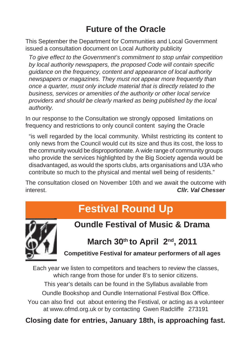# **Future of the Oracle**

This September the Department for Communities and Local Government issued a consultation document on Local Authority publicity

*To give effect to the Government's commitment to stop unfair competition by local authority newspapers, the proposed Code will contain specific guidance on the frequency, content and appearance of local authority newspapers or magazines. They must not appear more frequently than once a quarter, must only include material that is directly related to the business, services or amenities of the authority or other local service providers and should be clearly marked as being published by the local authority.*

In our response to the Consultation we strongly opposed limitations on frequency and restrictions to only council content saying the Oracle

"is well regarded by the local community. Whilst restricting its content to only news from the Council would cut its size and thus its cost, the loss to the community would be disproportionate. A wide range of community groups who provide the services highlighted by the Big Society agenda would be disadvantaged, as would the sports clubs, arts organisations and U3A who contribute so much to the physical and mental well being of residents."

The consultation closed on November 10th and we await the outcome with interest. *Cllr. Val Chesser*

# **Festival Round Up**



**Oundle Festival of Music & Drama**

March 30<sup>th</sup> to April 2<sup>nd</sup>, 2011

**Competitive Festival for amateur performers of all ages**

Each year we listen to competitors and teachers to review the classes, which range from those for under 8's to senior citizens.

This year's details can be found in the Syllabus available from

Oundle Bookshop and Oundle International Festival Box Office.

You can also find out about entering the Festival, or acting as a volunteer at www.ofmd.org.uk or by contacting Gwen Radcliffe 273191

#### **Closing date for entries, January 18th, is approaching fast.**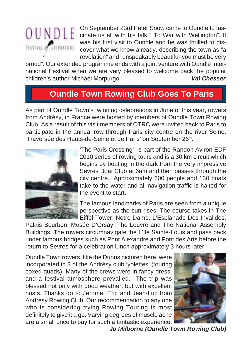

On September 23rd Peter Snow came to Oundle to fas- $\begin{array}{c} \begin{array}{c} \begin{array}{c} \begin{array}{c} \end{array}\\ \end{array}$   $\begin{array}{c} \end{array}$   $\begin{array}{c} \end{array}$   $\begin{array}{c} \end{array}$   $\begin{array}{c} \end{array}$   $\begin{array}{c} \end{array}$   $\begin{array}{c} \end{array}$   $\begin{array}{c} \end{array}$   $\begin{array}{c} \end{array}$   $\begin{array}{c} \end{array}$   $\begin{array}{c} \end{array}$   $\begin{array}{c} \end{array}$   $\begin{array}{c} \end{array}$  was his first visit to Oundle and he was thrilled to discover what we know already, describing the town as "a revelation" and "unspeakably beautiful-you must be very

proud". Our extended programme ends with a joint venture with Oundle International Festival when we are very pleased to welcome back the popular children's author Michael Morpurgo. *Val Chesser*

# **Oundle Town Rowing Club Goes To Paris**

As part of Oundle Town's twinning celebrations in June of this year, rowers from Andrésy, in France were hosted by members of Oundle Town Rowing Club. As a result of this visit members of OTRC were invited back to Paris to participate in the annual row through Paris city centre on the river Seine, 'Traversée des Hauts-de-Seine et de Paris' on September 26<sup>th</sup>.



'The Paris Crossing' is part of the Randon Aviron EDF 2010 series of rowing tours and is a 30 km circuit which begins by boating in the dark from the very impressive Sevres Boat Club at 6am and then passes through the city centre. Approximately 600 people and 130 boats take to the water and all navigation traffic is halted for the event to start.

The famous landmarks of Paris are seen from a unique perspective as the sun rises. The course takes in The Eiffel Tower, Notre Dame, L'Esplanade Des Invalides,

Palais Bourbon, Musée D'Orsay, The Louvre and The National Assembly Buildings. The rowers circumnavigate the L'Ile Sainte-Louis and pass back under famous bridges such as Pont Alexandre and Pont des Arts before the return to Sevres for a celebration lunch approximately 3 hours later.

Oundle Town rowers, like the Dunns pictured here, were incorporated in 3 of the Andrésy club 'yolettes' (touring coxed quads). Many of the crews were in fancy dress, and a festival atmosphere prevailed. The trip was blessed not only with good weather, but with excellent hosts. Thanks go to Jerome, Eric and Jean-Luc from Andrésy Rowing Club. Our recommendation to any one who is considering trying Rowing Touring is most definitely to give it a go. Varying degrees of muscle ache are a small price to pay for such a fantastic experience.



 *Jo Milborne (Oundle Town Rowing Club)*